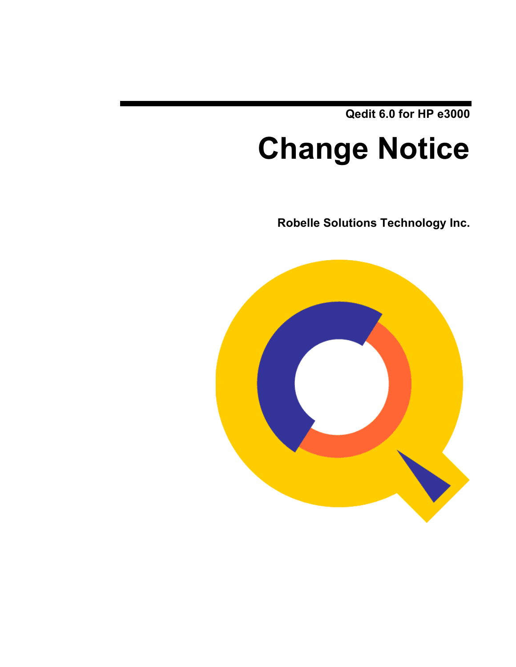**Qedit 6.0 for HP e3000**

# **Change Notice**

**Robelle Solutions Technology Inc.**

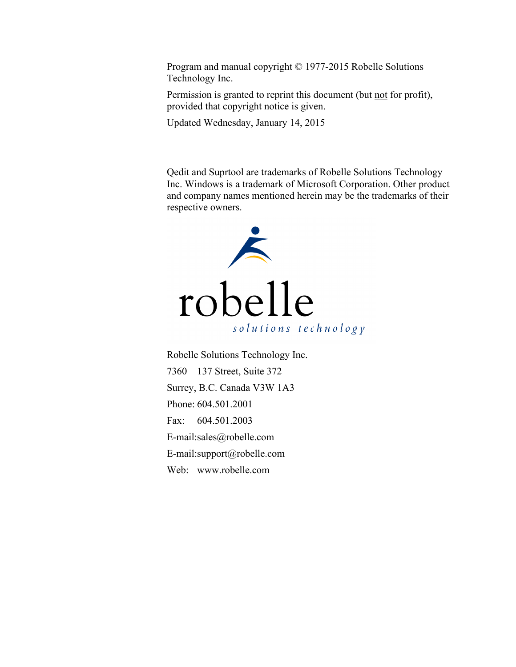Program and manual copyright © 1977-2015 Robelle Solutions Technology Inc.

Permission is granted to reprint this document (but not for profit), provided that copyright notice is given.

Updated Wednesday, January 14, 2015

Qedit and Suprtool are trademarks of Robelle Solutions Technology Inc. Windows is a trademark of Microsoft Corporation. Other product and company names mentioned herein may be the trademarks of their respective owners.



Robelle Solutions Technology Inc. 7360 – 137 Street, Suite 372 Surrey, B.C. Canada V3W 1A3 Phone: 604.501.2001 Fax: 604.501.2003 E-mail:sales@robelle.com E-mail:support@robelle.com Web: www.robelle.com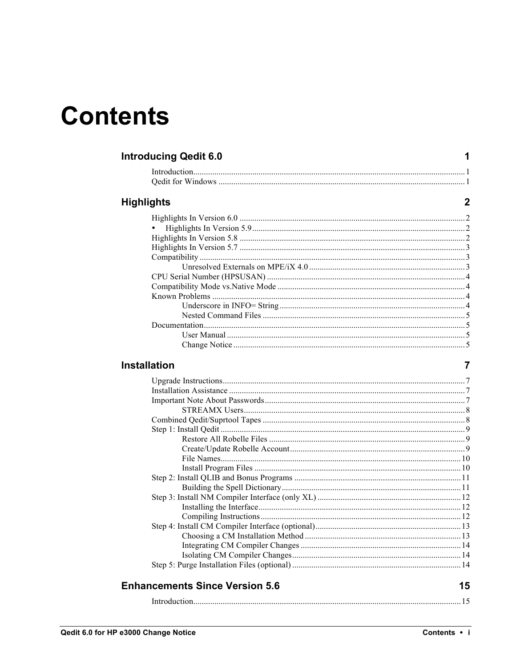## **Contents**

| <b>Introducing Qedit 6.0</b> |  |  |
|------------------------------|--|--|
|------------------------------|--|--|

#### **Highlights**

#### Installation

| <b>Enhancements Since Version 5.6</b> | 15 |
|---------------------------------------|----|

 $\mathbf 1$ 

 $\overline{2}$ 

 $\overline{7}$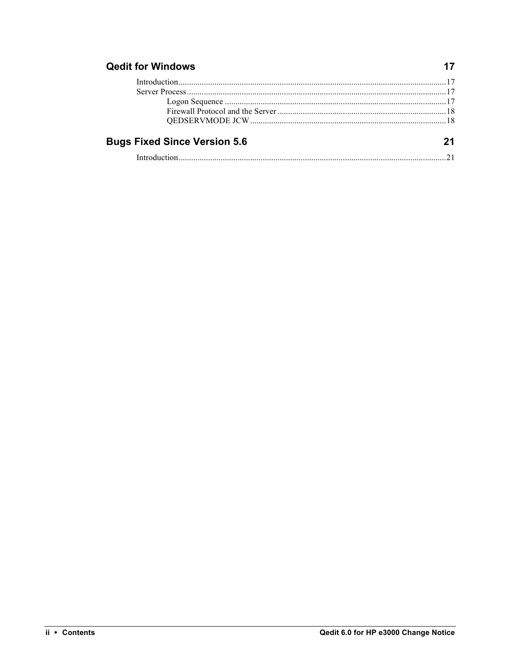#### **Qedit for Windows**

| <b>Bugs Fixed Since Version 5.6</b> | 21 |
|-------------------------------------|----|
|                                     |    |

 $17$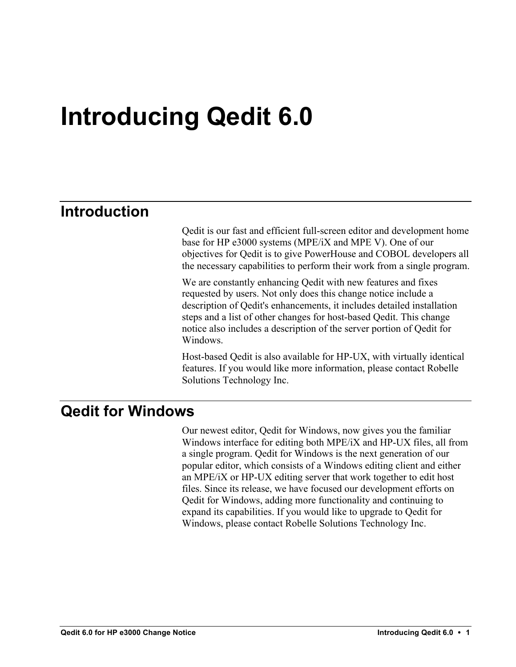## **Introducing Qedit 6.0**

## **Introduction**

Qedit is our fast and efficient full-screen editor and development home base for HP e3000 systems (MPE/iX and MPE V). One of our objectives for Qedit is to give PowerHouse and COBOL developers all the necessary capabilities to perform their work from a single program.

We are constantly enhancing Qedit with new features and fixes requested by users. Not only does this change notice include a description of Qedit's enhancements, it includes detailed installation steps and a list of other changes for host-based Qedit. This change notice also includes a description of the server portion of Qedit for **Windows** 

Host-based Qedit is also available for HP-UX, with virtually identical features. If you would like more information, please contact Robelle Solutions Technology Inc.

### **Qedit for Windows**

Our newest editor, Qedit for Windows, now gives you the familiar Windows interface for editing both MPE/iX and HP-UX files, all from a single program. Qedit for Windows is the next generation of our popular editor, which consists of a Windows editing client and either an MPE/iX or HP-UX editing server that work together to edit host files. Since its release, we have focused our development efforts on Qedit for Windows, adding more functionality and continuing to expand its capabilities. If you would like to upgrade to Qedit for Windows, please contact Robelle Solutions Technology Inc.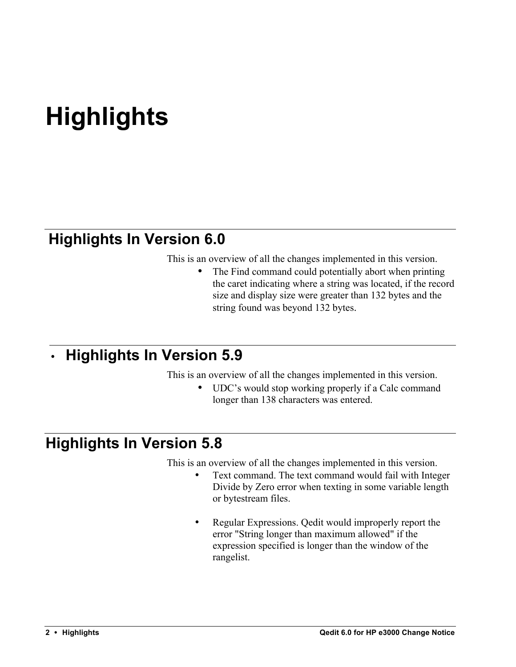## **Highlights**

## **Highlights In Version 6.0**

This is an overview of all the changes implemented in this version.

The Find command could potentially abort when printing the caret indicating where a string was located, if the record size and display size were greater than 132 bytes and the string found was beyond 132 bytes.

## • **Highlights In Version 5.9**

This is an overview of all the changes implemented in this version.

• UDC's would stop working properly if a Calc command longer than 138 characters was entered.

## **Highlights In Version 5.8**

This is an overview of all the changes implemented in this version.

- Text command. The text command would fail with Integer Divide by Zero error when texting in some variable length or bytestream files.
- Regular Expressions. Qedit would improperly report the error "String longer than maximum allowed" if the expression specified is longer than the window of the rangelist.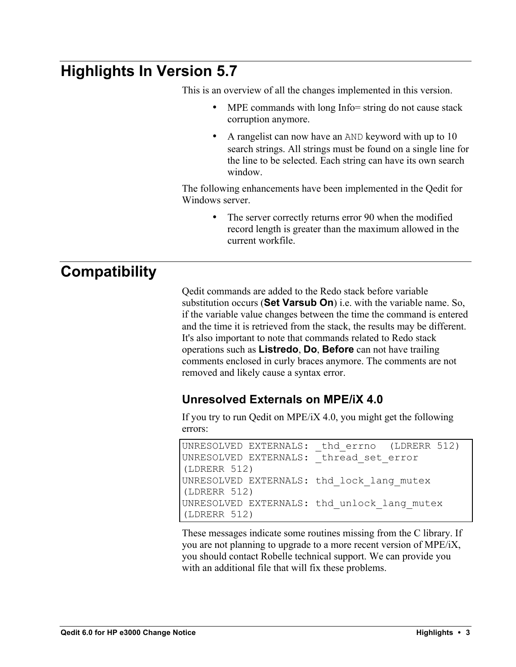## **Highlights In Version 5.7**

This is an overview of all the changes implemented in this version.

- MPE commands with long Info= string do not cause stack corruption anymore.
- A rangelist can now have an AND keyword with up to 10 search strings. All strings must be found on a single line for the line to be selected. Each string can have its own search window.

The following enhancements have been implemented in the Qedit for Windows server.

> The server correctly returns error 90 when the modified record length is greater than the maximum allowed in the current workfile.

## **Compatibility**

Qedit commands are added to the Redo stack before variable substitution occurs (**Set Varsub On**) i.e. with the variable name. So, if the variable value changes between the time the command is entered and the time it is retrieved from the stack, the results may be different. It's also important to note that commands related to Redo stack operations such as **Listredo**, **Do**, **Before** can not have trailing comments enclosed in curly braces anymore. The comments are not removed and likely cause a syntax error.

#### **Unresolved Externals on MPE/iX 4.0**

If you try to run Qedit on MPE/iX 4.0, you might get the following errors:

```
UNRESOLVED EXTERNALS: thd errno (LDRERR 512)
UNRESOLVED EXTERNALS: thread set error
(LDRERR 512)
UNRESOLVED EXTERNALS: thd_lock_lang_mutex 
(LDRERR 512)
UNRESOLVED EXTERNALS: thd_unlock_lang_mutex 
(LDRERR 512)
```
These messages indicate some routines missing from the C library. If you are not planning to upgrade to a more recent version of MPE/iX, you should contact Robelle technical support. We can provide you with an additional file that will fix these problems.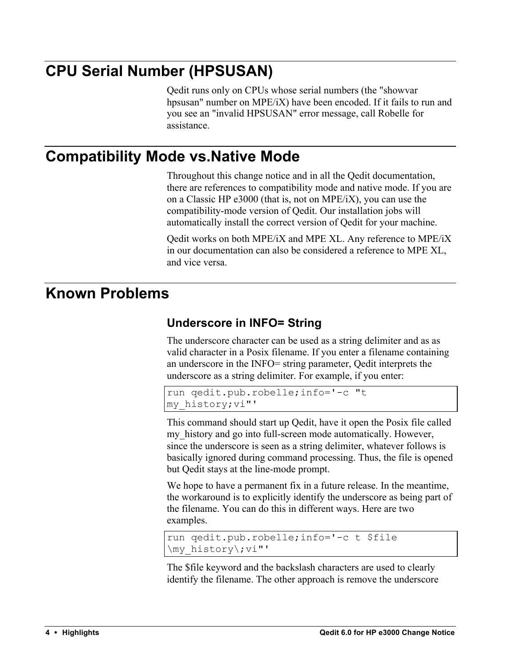## **CPU Serial Number (HPSUSAN)**

Qedit runs only on CPUs whose serial numbers (the "showvar hpsusan" number on MPE/iX) have been encoded. If it fails to run and you see an "invalid HPSUSAN" error message, call Robelle for assistance.

## **Compatibility Mode vs.Native Mode**

Throughout this change notice and in all the Qedit documentation, there are references to compatibility mode and native mode. If you are on a Classic HP e3000 (that is, not on MPE/iX), you can use the compatibility-mode version of Qedit. Our installation jobs will automatically install the correct version of Qedit for your machine.

Qedit works on both MPE/iX and MPE XL. Any reference to MPE/iX in our documentation can also be considered a reference to MPE XL, and vice versa.

## **Known Problems**

#### **Underscore in INFO= String**

The underscore character can be used as a string delimiter and as as valid character in a Posix filename. If you enter a filename containing an underscore in the INFO= string parameter, Qedit interprets the underscore as a string delimiter. For example, if you enter:

```
run qedit.pub.robelle;info='-c "t 
my_history;vi"'
```
This command should start up Qedit, have it open the Posix file called my history and go into full-screen mode automatically. However, since the underscore is seen as a string delimiter, whatever follows is basically ignored during command processing. Thus, the file is opened but Qedit stays at the line-mode prompt.

We hope to have a permanent fix in a future release. In the meantime, the workaround is to explicitly identify the underscore as being part of the filename. You can do this in different ways. Here are two examples.

```
run qedit.pub.robelle;info='-c t $file 
\my_history\;vi"'
```
The \$file keyword and the backslash characters are used to clearly identify the filename. The other approach is remove the underscore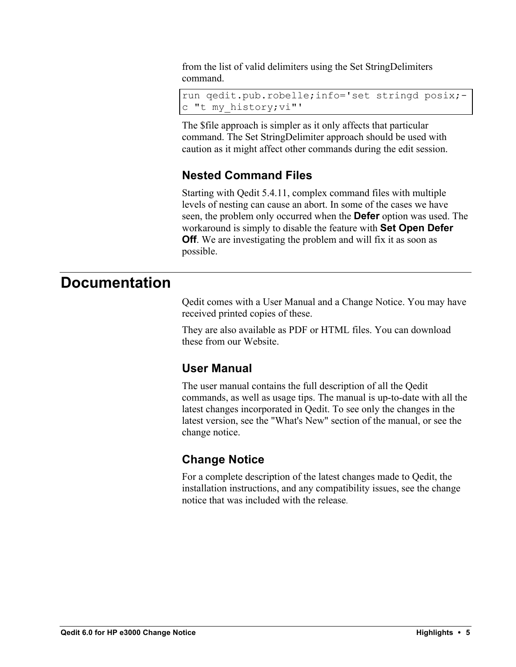from the list of valid delimiters using the Set StringDelimiters command.

```
run qedit.pub.robelle;info='set stringd posix;-
c "t my_history;vi"'
```
The \$file approach is simpler as it only affects that particular command. The Set StringDelimiter approach should be used with caution as it might affect other commands during the edit session.

#### **Nested Command Files**

Starting with Qedit 5.4.11, complex command files with multiple levels of nesting can cause an abort. In some of the cases we have seen, the problem only occurred when the **Defer** option was used. The workaround is simply to disable the feature with **Set Open Defer Off**. We are investigating the problem and will fix it as soon as possible.

### **Documentation**

Qedit comes with a User Manual and a Change Notice. You may have received printed copies of these.

They are also available as PDF or HTML files. You can download these from our Website.

#### **User Manual**

The user manual contains the full description of all the Qedit commands, as well as usage tips. The manual is up-to-date with all the latest changes incorporated in Qedit. To see only the changes in the latest version, see the "What's New" section of the manual, or see the change notice.

#### **Change Notice**

For a complete description of the latest changes made to Qedit, the installation instructions, and any compatibility issues, see the change notice that was included with the release.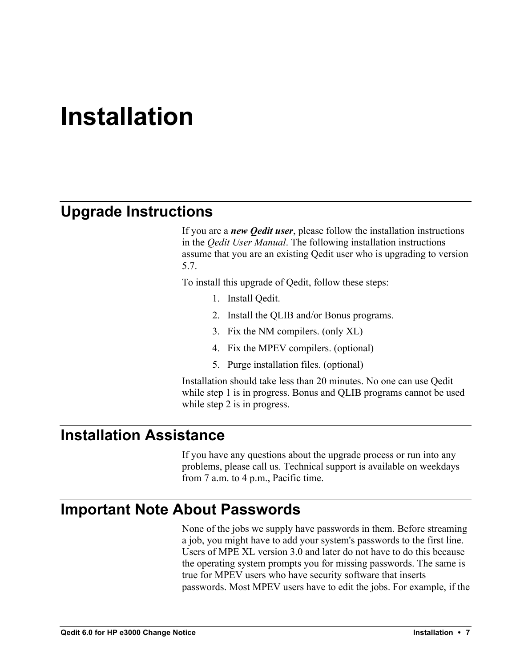## **Installation**

## **Upgrade Instructions**

If you are a *new Qedit user*, please follow the installation instructions in the *Qedit User Manual*. The following installation instructions assume that you are an existing Qedit user who is upgrading to version 5.7.

To install this upgrade of Qedit, follow these steps:

- 1. Install Qedit.
- 2. Install the QLIB and/or Bonus programs.
- 3. Fix the NM compilers. (only XL)
- 4. Fix the MPEV compilers. (optional)
- 5. Purge installation files. (optional)

Installation should take less than 20 minutes. No one can use Qedit while step 1 is in progress. Bonus and QLIB programs cannot be used while step 2 is in progress.

### **Installation Assistance**

If you have any questions about the upgrade process or run into any problems, please call us. Technical support is available on weekdays from 7 a.m. to 4 p.m., Pacific time.

### **Important Note About Passwords**

None of the jobs we supply have passwords in them. Before streaming a job, you might have to add your system's passwords to the first line. Users of MPE XL version 3.0 and later do not have to do this because the operating system prompts you for missing passwords. The same is true for MPEV users who have security software that inserts passwords. Most MPEV users have to edit the jobs. For example, if the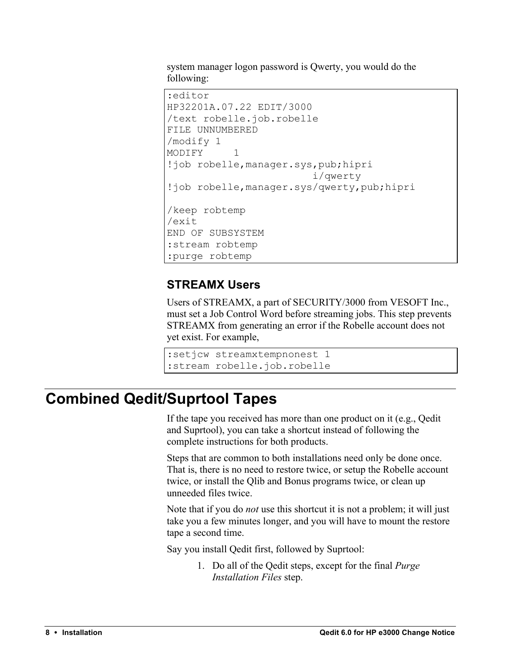system manager logon password is Qwerty, you would do the following:

```
:editor
HP32201A.07.22 EDIT/3000
/text robelle.job.robelle
FILE UNNUMBERED
/modify 1
MODIFY 1
!job robelle,manager.sys,pub;hipri
                         i/qwerty
!job robelle,manager.sys/qwerty,pub;hipri
/keep robtemp
/exit
END OF SUBSYSTEM
:stream robtemp
:purge robtemp
```
#### **STREAMX Users**

Users of STREAMX, a part of SECURITY/3000 from VESOFT Inc., must set a Job Control Word before streaming jobs. This step prevents STREAMX from generating an error if the Robelle account does not yet exist. For example,

```
:setjcw streamxtempnonest 1
:stream robelle.job.robelle
```
## **Combined Qedit/Suprtool Tapes**

If the tape you received has more than one product on it (e.g., Qedit and Suprtool), you can take a shortcut instead of following the complete instructions for both products.

Steps that are common to both installations need only be done once. That is, there is no need to restore twice, or setup the Robelle account twice, or install the Qlib and Bonus programs twice, or clean up unneeded files twice.

Note that if you do *not* use this shortcut it is not a problem; it will just take you a few minutes longer, and you will have to mount the restore tape a second time.

Say you install Qedit first, followed by Suprtool:

1. Do all of the Qedit steps, except for the final *Purge Installation Files* step.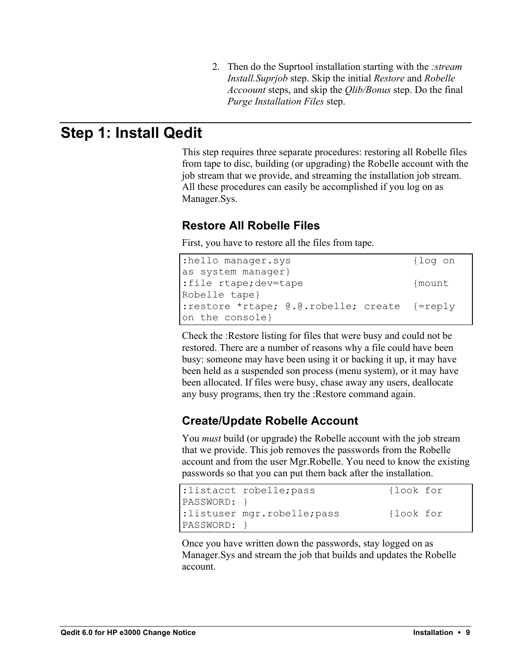2. Then do the Suprtool installation starting with the *:stream Install.Suprjob* step. Skip the initial *Restore* and *Robelle Accoount* steps, and skip the *Qlib/Bonus* step. Do the final *Purge Installation Files* step.

## **Step 1: Install Qedit**

This step requires three separate procedures: restoring all Robelle files from tape to disc, building (or upgrading) the Robelle account with the job stream that we provide, and streaming the installation job stream. All these procedures can easily be accomplished if you log on as Manager.Sys.

#### **Restore All Robelle Files**

First, you have to restore all the files from tape.

| :hello manager.sys                           | {loq on |
|----------------------------------------------|---------|
| as system manager}                           |         |
| :file rtape;dev=tape                         | {mount  |
| Robelle tape}                                |         |
| :restore *rtape; @.@.robelle; create {=reply |         |
| on the console}                              |         |

Check the :Restore listing for files that were busy and could not be restored. There are a number of reasons why a file could have been busy: someone may have been using it or backing it up, it may have been held as a suspended son process (menu system), or it may have been allocated. If files were busy, chase away any users, deallocate any busy programs, then try the :Restore command again.

#### **Create/Update Robelle Account**

You *must* build (or upgrade) the Robelle account with the job stream that we provide. This job removes the passwords from the Robelle account and from the user Mgr.Robelle. You need to know the existing passwords so that you can put them back after the installation.

|                 | :listacct robelle; pass     | {look for |
|-----------------|-----------------------------|-----------|
| $ PASSWORD:$ }  |                             |           |
|                 | :listuser mgr.robelle; pass | {look for |
| $ PASSWORD: \}$ |                             |           |

Once you have written down the passwords, stay logged on as Manager.Sys and stream the job that builds and updates the Robelle account.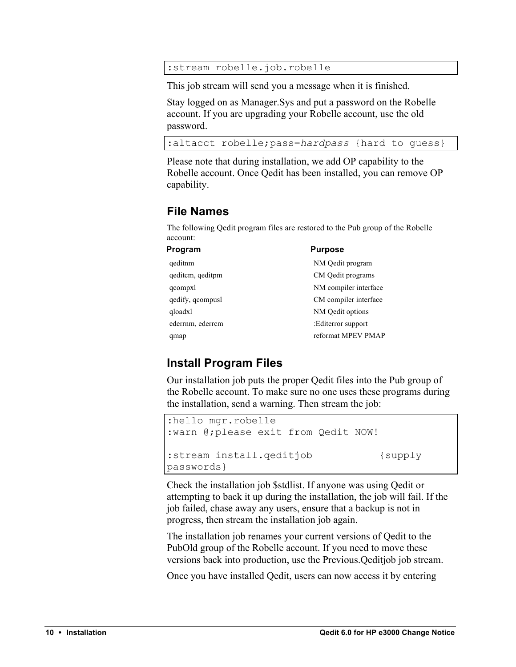:stream robelle.job.robelle

This job stream will send you a message when it is finished.

Stay logged on as Manager.Sys and put a password on the Robelle account. If you are upgrading your Robelle account, use the old password.

```
:altacct robelle;pass=hardpass {hard to guess}
```
Please note that during installation, we add OP capability to the Robelle account. Once Qedit has been installed, you can remove OP capability.

#### **File Names**

The following Qedit program files are restored to the Pub group of the Robelle account:

| Program          | <b>Purpose</b>        |
|------------------|-----------------------|
| qeditnm          | NM Qedit program      |
| geditem, geditpm | CM Qedit programs     |
| qcompxl          | NM compiler interface |
| qedify, qcompusl | CM compiler interface |
| gloadxl          | NM Qedit options      |
| ederrnm, ederrcm | :Editerror support    |
| qmap             | reformat MPEV PMAP    |

#### **Install Program Files**

Our installation job puts the proper Qedit files into the Pub group of the Robelle account. To make sure no one uses these programs during the installation, send a warning. Then stream the job:

```
:hello mgr.robelle
:warn @;please exit from Qedit NOW!
:stream install.qeditjob {supply
passwords}
```
Check the installation job \$stdlist. If anyone was using Qedit or attempting to back it up during the installation, the job will fail. If the job failed, chase away any users, ensure that a backup is not in progress, then stream the installation job again.

The installation job renames your current versions of Qedit to the PubOld group of the Robelle account. If you need to move these versions back into production, use the Previous.Qeditjob job stream.

Once you have installed Qedit, users can now access it by entering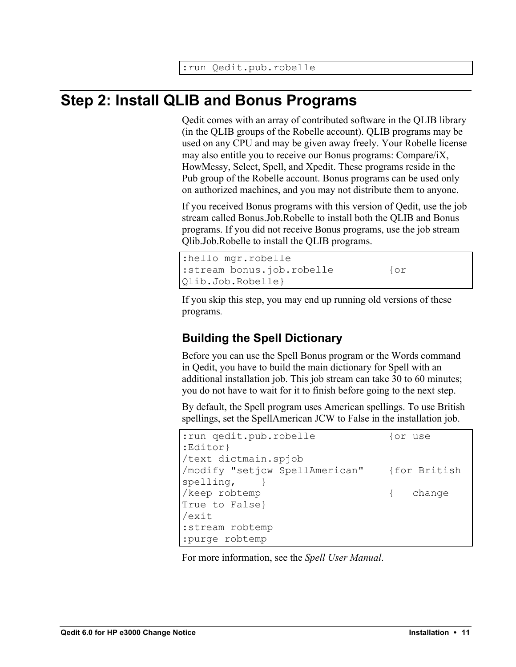## **Step 2: Install QLIB and Bonus Programs**

Qedit comes with an array of contributed software in the QLIB library (in the QLIB groups of the Robelle account). QLIB programs may be used on any CPU and may be given away freely. Your Robelle license may also entitle you to receive our Bonus programs: Compare/iX, HowMessy, Select, Spell, and Xpedit. These programs reside in the Pub group of the Robelle account. Bonus programs can be used only on authorized machines, and you may not distribute them to anyone.

If you received Bonus programs with this version of Qedit, use the job stream called Bonus.Job.Robelle to install both the QLIB and Bonus programs. If you did not receive Bonus programs, use the job stream Qlib.Job.Robelle to install the QLIB programs.

```
:hello mgr.robelle
:stream bonus.job.robelle {or
Qlib.Job.Robelle}
```
If you skip this step, you may end up running old versions of these programs.

#### **Building the Spell Dictionary**

Before you can use the Spell Bonus program or the Words command in Qedit, you have to build the main dictionary for Spell with an additional installation job. This job stream can take 30 to 60 minutes; you do not have to wait for it to finish before going to the next step.

By default, the Spell program uses American spellings. To use British spellings, set the SpellAmerican JCW to False in the installation job.

| : run qedit.pub.robelle                     | for use  |
|---------------------------------------------|----------|
| :Editor}                                    |          |
| /text dictmain.spjob                        |          |
| /modify "setjcw SpellAmerican" {for British |          |
| spelling,                                   |          |
| /keep robtemp                               | { change |
| True to False}                              |          |
| /exit                                       |          |
| :stream robtemp                             |          |
| :purge robtemp                              |          |

For more information, see the *Spell User Manual*.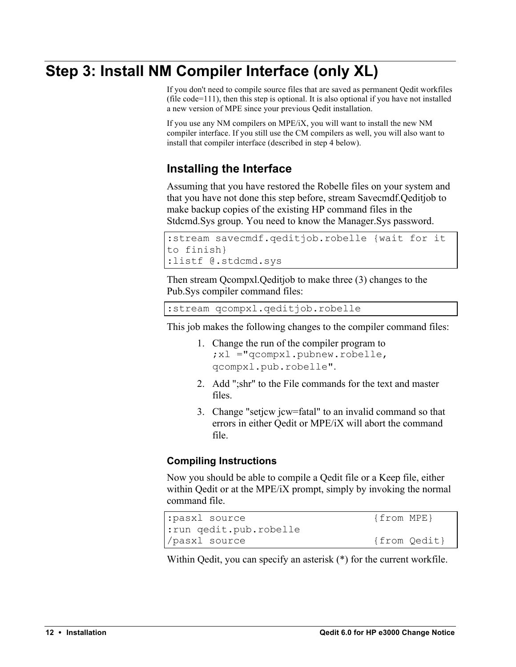## **Step 3: Install NM Compiler Interface (only XL)**

If you don't need to compile source files that are saved as permanent Qedit workfiles (file code=111), then this step is optional. It is also optional if you have not installed a new version of MPE since your previous Qedit installation.

If you use any NM compilers on MPE/iX, you will want to install the new NM compiler interface. If you still use the CM compilers as well, you will also want to install that compiler interface (described in step 4 below).

#### **Installing the Interface**

Assuming that you have restored the Robelle files on your system and that you have not done this step before, stream Savecmdf.Qeditjob to make backup copies of the existing HP command files in the Stdcmd.Sys group. You need to know the Manager.Sys password.

```
:stream savecmdf.qeditjob.robelle {wait for it 
to finish}
:listf @.stdcmd.sys
```
Then stream Qcompxl.Qeditjob to make three (3) changes to the Pub.Sys compiler command files:

:stream qcompxl.qeditjob.robelle

This job makes the following changes to the compiler command files:

- 1. Change the run of the compiler program to ;xl ="qcompxl.pubnew.robelle, qcompxl.pub.robelle".
- 2. Add ";shr" to the File commands for the text and master files.
- 3. Change "setjcw jcw=fatal" to an invalid command so that errors in either Qedit or MPE/iX will abort the command file.

#### **Compiling Instructions**

Now you should be able to compile a Qedit file or a Keep file, either within Qedit or at the MPE/iX prompt, simply by invoking the normal command file.

```
:pasxl source {from MPE}
:run qedit.pub.robelle
/pasxl source {from Qedit}
```
Within Qedit, you can specify an asterisk (\*) for the current workfile.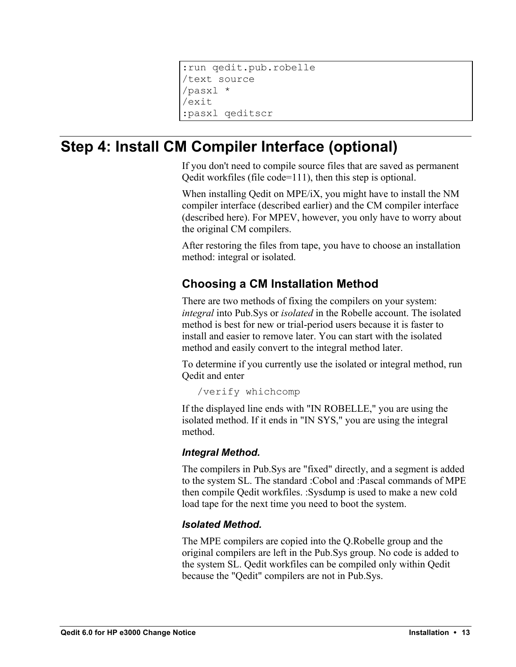```
:run qedit.pub.robelle
/text source
/pasxl *
/exit
:pasxl qeditscr
```
## **Step 4: Install CM Compiler Interface (optional)**

If you don't need to compile source files that are saved as permanent Qedit workfiles (file code=111), then this step is optional.

When installing Qedit on MPE/iX, you might have to install the NM compiler interface (described earlier) and the CM compiler interface (described here). For MPEV, however, you only have to worry about the original CM compilers.

After restoring the files from tape, you have to choose an installation method: integral or isolated.

#### **Choosing a CM Installation Method**

There are two methods of fixing the compilers on your system: *integral* into Pub.Sys or *isolated* in the Robelle account. The isolated method is best for new or trial-period users because it is faster to install and easier to remove later. You can start with the isolated method and easily convert to the integral method later.

To determine if you currently use the isolated or integral method, run Qedit and enter

/verify whichcomp

If the displayed line ends with "IN ROBELLE," you are using the isolated method. If it ends in "IN SYS," you are using the integral method.

#### *Integral Method.*

The compilers in Pub.Sys are "fixed" directly, and a segment is added to the system SL. The standard :Cobol and :Pascal commands of MPE then compile Qedit workfiles. :Sysdump is used to make a new cold load tape for the next time you need to boot the system.

#### *Isolated Method.*

The MPE compilers are copied into the Q.Robelle group and the original compilers are left in the Pub.Sys group. No code is added to the system SL. Qedit workfiles can be compiled only within Qedit because the "Qedit" compilers are not in Pub.Sys.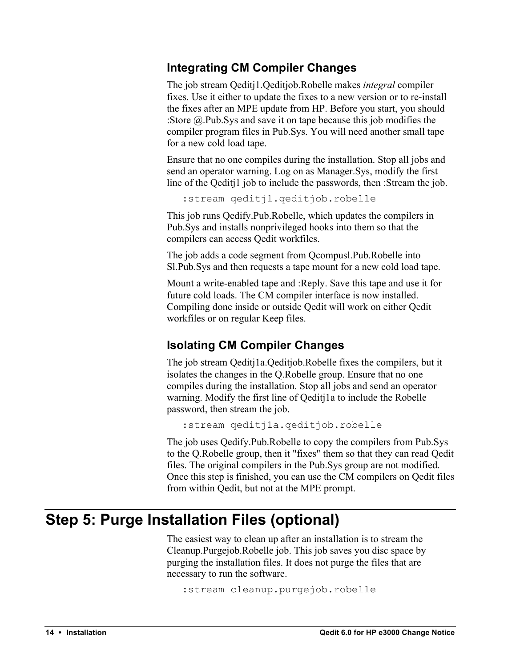#### **Integrating CM Compiler Changes**

The job stream Qeditj1.Qeditjob.Robelle makes *integral* compiler fixes. Use it either to update the fixes to a new version or to re-install the fixes after an MPE update from HP. Before you start, you should :Store @.Pub.Sys and save it on tape because this job modifies the compiler program files in Pub.Sys. You will need another small tape for a new cold load tape.

Ensure that no one compiles during the installation. Stop all jobs and send an operator warning. Log on as Manager.Sys, modify the first line of the Qeditj1 job to include the passwords, then :Stream the job.

:stream qeditj1.qeditjob.robelle

This job runs Qedify.Pub.Robelle, which updates the compilers in Pub.Sys and installs nonprivileged hooks into them so that the compilers can access Qedit workfiles.

The job adds a code segment from Qcompusl.Pub.Robelle into Sl.Pub.Sys and then requests a tape mount for a new cold load tape.

Mount a write-enabled tape and :Reply. Save this tape and use it for future cold loads. The CM compiler interface is now installed. Compiling done inside or outside Qedit will work on either Qedit workfiles or on regular Keep files.

#### **Isolating CM Compiler Changes**

The job stream Qeditj1a.Qeditjob.Robelle fixes the compilers, but it isolates the changes in the Q.Robelle group. Ensure that no one compiles during the installation. Stop all jobs and send an operator warning. Modify the first line of Qeditj1a to include the Robelle password, then stream the job.

```
:stream qeditj1a.qeditjob.robelle
```
The job uses Qedify.Pub.Robelle to copy the compilers from Pub.Sys to the Q.Robelle group, then it "fixes" them so that they can read Qedit files. The original compilers in the Pub.Sys group are not modified. Once this step is finished, you can use the CM compilers on Qedit files from within Qedit, but not at the MPE prompt.

## **Step 5: Purge Installation Files (optional)**

The easiest way to clean up after an installation is to stream the Cleanup.Purgejob.Robelle job. This job saves you disc space by purging the installation files. It does not purge the files that are necessary to run the software.

```
:stream cleanup.purgejob.robelle
```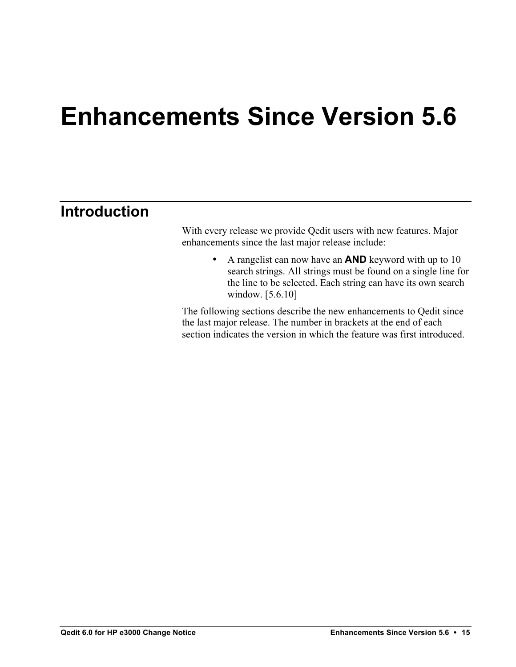## **Enhancements Since Version 5.6**

## **Introduction**

With every release we provide Qedit users with new features. Major enhancements since the last major release include:

> • A rangelist can now have an **AND** keyword with up to 10 search strings. All strings must be found on a single line for the line to be selected. Each string can have its own search window. [5.6.10]

The following sections describe the new enhancements to Qedit since the last major release. The number in brackets at the end of each section indicates the version in which the feature was first introduced.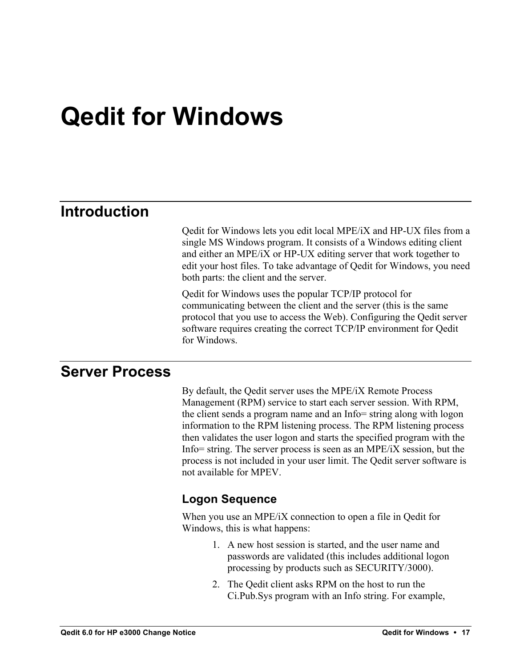## **Qedit for Windows**

## **Introduction**

Qedit for Windows lets you edit local MPE/iX and HP-UX files from a single MS Windows program. It consists of a Windows editing client and either an MPE/iX or HP-UX editing server that work together to edit your host files. To take advantage of Qedit for Windows, you need both parts: the client and the server.

Qedit for Windows uses the popular TCP/IP protocol for communicating between the client and the server (this is the same protocol that you use to access the Web). Configuring the Qedit server software requires creating the correct TCP/IP environment for Qedit for Windows.

## **Server Process**

By default, the Qedit server uses the MPE/iX Remote Process Management (RPM) service to start each server session. With RPM, the client sends a program name and an Info= string along with logon information to the RPM listening process. The RPM listening process then validates the user logon and starts the specified program with the Info= string. The server process is seen as an MPE/iX session, but the process is not included in your user limit. The Qedit server software is not available for MPEV.

#### **Logon Sequence**

When you use an MPE/iX connection to open a file in Qedit for Windows, this is what happens:

- 1. A new host session is started, and the user name and passwords are validated (this includes additional logon processing by products such as SECURITY/3000).
- 2. The Qedit client asks RPM on the host to run the Ci.Pub.Sys program with an Info string. For example,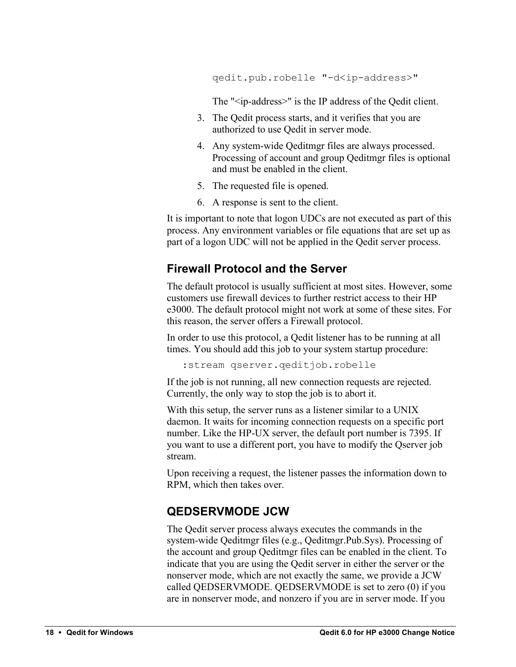qedit.pub.robelle "-d<ip-address>"

The "<ip-address>" is the IP address of the Qedit client.

- 3. The Qedit process starts, and it verifies that you are authorized to use Qedit in server mode.
- 4. Any system-wide Qeditmgr files are always processed. Processing of account and group Qeditmgr files is optional and must be enabled in the client.
- 5. The requested file is opened.
- 6. A response is sent to the client.

It is important to note that logon UDCs are not executed as part of this process. Any environment variables or file equations that are set up as part of a logon UDC will not be applied in the Qedit server process.

#### **Firewall Protocol and the Server**

The default protocol is usually sufficient at most sites. However, some customers use firewall devices to further restrict access to their HP e3000. The default protocol might not work at some of these sites. For this reason, the server offers a Firewall protocol.

In order to use this protocol, a Qedit listener has to be running at all times. You should add this job to your system startup procedure:

:stream qserver.qeditjob.robelle

If the job is not running, all new connection requests are rejected. Currently, the only way to stop the job is to abort it.

With this setup, the server runs as a listener similar to a UNIX daemon. It waits for incoming connection requests on a specific port number. Like the HP-UX server, the default port number is 7395. If you want to use a different port, you have to modify the Qserver job stream.

Upon receiving a request, the listener passes the information down to RPM, which then takes over.

#### **QEDSERVMODE JCW**

The Qedit server process always executes the commands in the system-wide Qeditmgr files (e.g., Qeditmgr.Pub.Sys). Processing of the account and group Qeditmgr files can be enabled in the client. To indicate that you are using the Qedit server in either the server or the nonserver mode, which are not exactly the same, we provide a JCW called QEDSERVMODE. QEDSERVMODE is set to zero (0) if you are in nonserver mode, and nonzero if you are in server mode. If you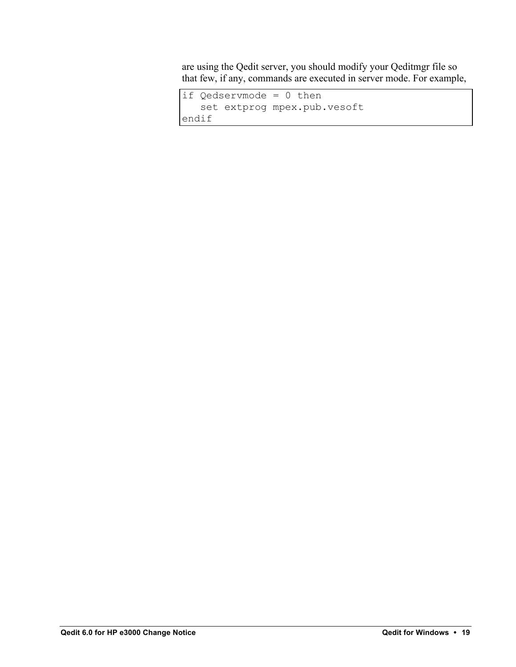are using the Qedit server, you should modify your Qeditmgr file so that few, if any, commands are executed in server mode. For example,

```
if Qedservmode = 0 then
    set extprog mpex.pub.vesoft
endif
```